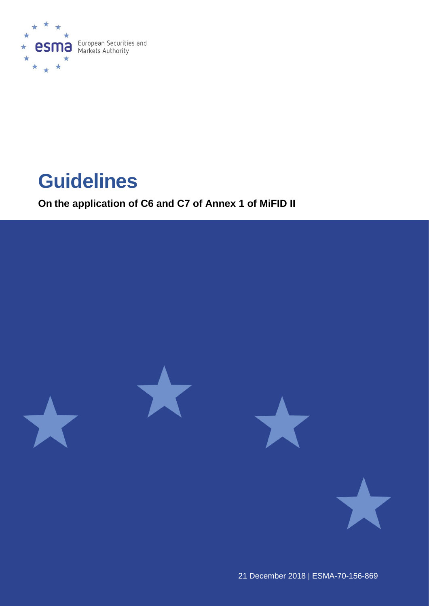

# **Guidelines**

**On the application of C6 and C7 of Annex 1 of MiFID II**



21 December 2018 | ESMA-70-156-869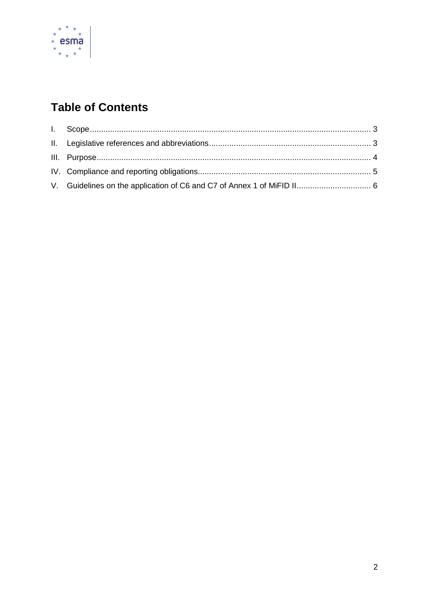

# **Table of Contents**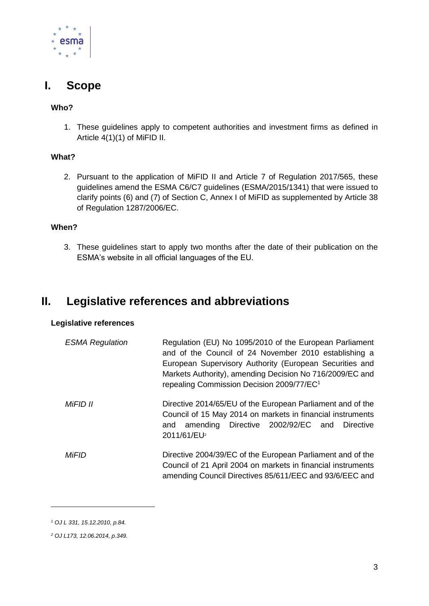

## <span id="page-2-0"></span>**I. Scope**

### **Who?**

1. These guidelines apply to competent authorities and investment firms as defined in Article 4(1)(1) of MiFID II.

### **What?**

2. Pursuant to the application of MiFID II and Article 7 of Regulation 2017/565, these guidelines amend the ESMA C6/C7 guidelines (ESMA/2015/1341) that were issued to clarify points (6) and (7) of Section C, Annex I of MiFID as supplemented by Article 38 of Regulation 1287/2006/EC.

### **When?**

3. These guidelines start to apply two months after the date of their publication on the ESMA's website in all official languages of the EU.

### <span id="page-2-1"></span>**II. Legislative references and abbreviations**

#### **Legislative references**

| <b>ESMA Regulation</b> | Regulation (EU) No 1095/2010 of the European Parliament<br>and of the Council of 24 November 2010 establishing a<br>European Supervisory Authority (European Securities and<br>Markets Authority), amending Decision No 716/2009/EC and<br>repealing Commission Decision 2009/77/EC <sup>1</sup> |
|------------------------|--------------------------------------------------------------------------------------------------------------------------------------------------------------------------------------------------------------------------------------------------------------------------------------------------|
| MiFID II               | Directive 2014/65/EU of the European Parliament and of the<br>Council of 15 May 2014 on markets in financial instruments<br>amending Directive 2002/92/EC and Directive<br>and<br>2011/61/EU <sup>2</sup>                                                                                        |
| MiFID                  | Directive 2004/39/EC of the European Parliament and of the<br>Council of 21 April 2004 on markets in financial instruments<br>amending Council Directives 85/611/EEC and 93/6/EEC and                                                                                                            |

-

*<sup>1</sup> OJ L 331, 15.12.2010, p.84.*

*<sup>2</sup> OJ L173, 12.06.2014, p.349.*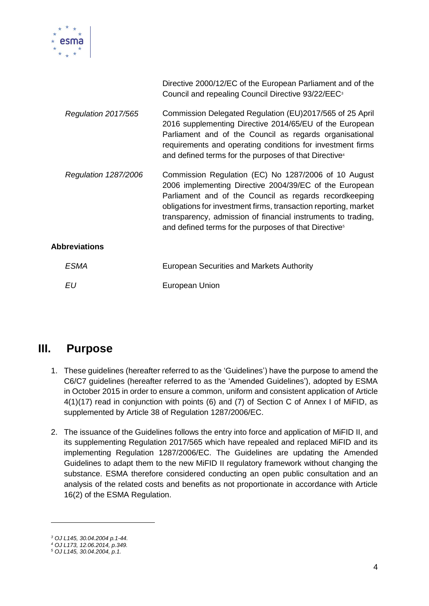

|                             | Directive 2000/12/EC of the European Parliament and of the<br>Council and repealing Council Directive 93/22/EEC <sup>3</sup>                                                                                                                                                                                                                                                     |  |  |  |
|-----------------------------|----------------------------------------------------------------------------------------------------------------------------------------------------------------------------------------------------------------------------------------------------------------------------------------------------------------------------------------------------------------------------------|--|--|--|
| Regulation 2017/565         | Commission Delegated Regulation (EU)2017/565 of 25 April<br>2016 supplementing Directive 2014/65/EU of the European<br>Parliament and of the Council as regards organisational<br>requirements and operating conditions for investment firms<br>and defined terms for the purposes of that Directive <sup>4</sup>                                                                |  |  |  |
| <b>Regulation 1287/2006</b> | Commission Regulation (EC) No 1287/2006 of 10 August<br>2006 implementing Directive 2004/39/EC of the European<br>Parliament and of the Council as regards recordkeeping<br>obligations for investment firms, transaction reporting, market<br>transparency, admission of financial instruments to trading,<br>and defined terms for the purposes of that Directive <sup>5</sup> |  |  |  |
| <b>Abbreviations</b>        |                                                                                                                                                                                                                                                                                                                                                                                  |  |  |  |
| ESMA                        | European Securities and Markets Authority                                                                                                                                                                                                                                                                                                                                        |  |  |  |
| EU                          | European Union                                                                                                                                                                                                                                                                                                                                                                   |  |  |  |

### <span id="page-3-0"></span>**III. Purpose**

- 1. These guidelines (hereafter referred to as the 'Guidelines') have the purpose to amend the C6/C7 guidelines (hereafter referred to as the 'Amended Guidelines'), adopted by ESMA in October 2015 in order to ensure a common, uniform and consistent application of Article 4(1)(17) read in conjunction with points (6) and (7) of Section C of Annex I of MiFID, as supplemented by Article 38 of Regulation 1287/2006/EC.
- 2. The issuance of the Guidelines follows the entry into force and application of MiFID II, and its supplementing Regulation 2017/565 which have repealed and replaced MiFID and its implementing Regulation 1287/2006/EC. The Guidelines are updating the Amended Guidelines to adapt them to the new MiFID II regulatory framework without changing the substance. ESMA therefore considered conducting an open public consultation and an analysis of the related costs and benefits as not proportionate in accordance with Article 16(2) of the ESMA Regulation.

1

*<sup>3</sup> OJ L145, 30.04.2004 p.1-44.*

*<sup>4</sup> OJ L173, 12.06.2014, p.349.*

*<sup>5</sup> OJ L145, 30.04.2004, p.1.*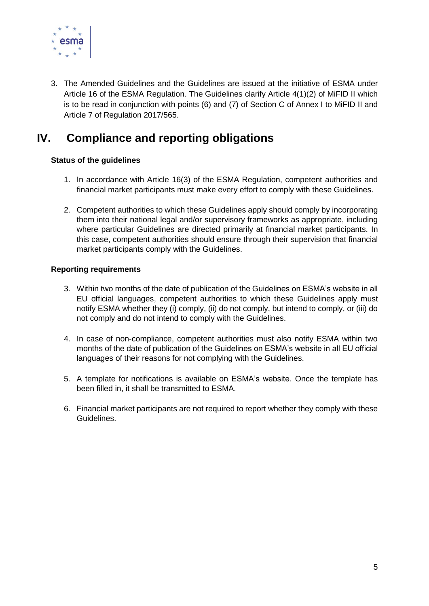

3. The Amended Guidelines and the Guidelines are issued at the initiative of ESMA under Article 16 of the ESMA Regulation. The Guidelines clarify Article 4(1)(2) of MiFID II which is to be read in conjunction with points (6) and (7) of Section C of Annex I to MiFID II and Article 7 of Regulation 2017/565.

# <span id="page-4-0"></span>**IV. Compliance and reporting obligations**

### **Status of the guidelines**

- 1. In accordance with Article 16(3) of the ESMA Regulation, competent authorities and financial market participants must make every effort to comply with these Guidelines.
- 2. Competent authorities to which these Guidelines apply should comply by incorporating them into their national legal and/or supervisory frameworks as appropriate, including where particular Guidelines are directed primarily at financial market participants. In this case, competent authorities should ensure through their supervision that financial market participants comply with the Guidelines.

### **Reporting requirements**

- 3. Within two months of the date of publication of the Guidelines on ESMA's website in all EU official languages, competent authorities to which these Guidelines apply must notify ESMA whether they (i) comply, (ii) do not comply, but intend to comply, or (iii) do not comply and do not intend to comply with the Guidelines.
- 4. In case of non-compliance, competent authorities must also notify ESMA within two months of the date of publication of the Guidelines on ESMA's website in all EU official languages of their reasons for not complying with the Guidelines.
- 5. A template for notifications is available on ESMA's website. Once the template has been filled in, it shall be transmitted to ESMA.
- 6. Financial market participants are not required to report whether they comply with these Guidelines.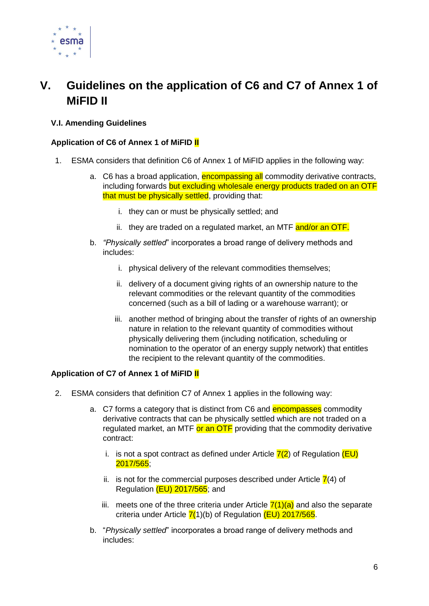

# <span id="page-5-0"></span>**V. Guidelines on the application of C6 and C7 of Annex 1 of MiFID II**

### **V.I. Amending Guidelines**

### **Application of C6 of Annex 1 of MiFID II**

- 1. ESMA considers that definition C6 of Annex 1 of MiFID applies in the following way:
	- a. C6 has a broad application, encompassing all commodity derivative contracts, including forwards but excluding wholesale energy products traded on an OTF that must be physically settled, providing that:
		- i. they can or must be physically settled; and
		- ii. they are traded on a regulated market, an MTF and/or an OTF.
	- b. *"Physically settled*" incorporates a broad range of delivery methods and includes:
		- i. physical delivery of the relevant commodities themselves;
		- ii. delivery of a document giving rights of an ownership nature to the relevant commodities or the relevant quantity of the commodities concerned (such as a bill of lading or a warehouse warrant); or
		- iii. another method of bringing about the transfer of rights of an ownership nature in relation to the relevant quantity of commodities without physically delivering them (including notification, scheduling or nomination to the operator of an energy supply network) that entitles the recipient to the relevant quantity of the commodities.

#### **Application of C7 of Annex 1 of MiFID II**

- 2. ESMA considers that definition C7 of Annex 1 applies in the following way:
	- a. C7 forms a category that is distinct from C6 and **encompasses** commodity derivative contracts that can be physically settled which are not traded on a regulated market, an MTF or an OTF providing that the commodity derivative contract:
		- i. is not a spot contract as defined under Article  $7(2)$  of Regulation  $(EU)$ 2017/565;
		- ii. is not for the commercial purposes described under Article  $\overline{7}(4)$  of Regulation (EU) 2017/565; and
		- iii. meets one of the three criteria under Article  $7(1)(a)$  and also the separate criteria under Article  $7(1)(b)$  of Regulation  $(EU)$  2017/565.
	- b. "*Physically settled*" incorporates a broad range of delivery methods and includes: